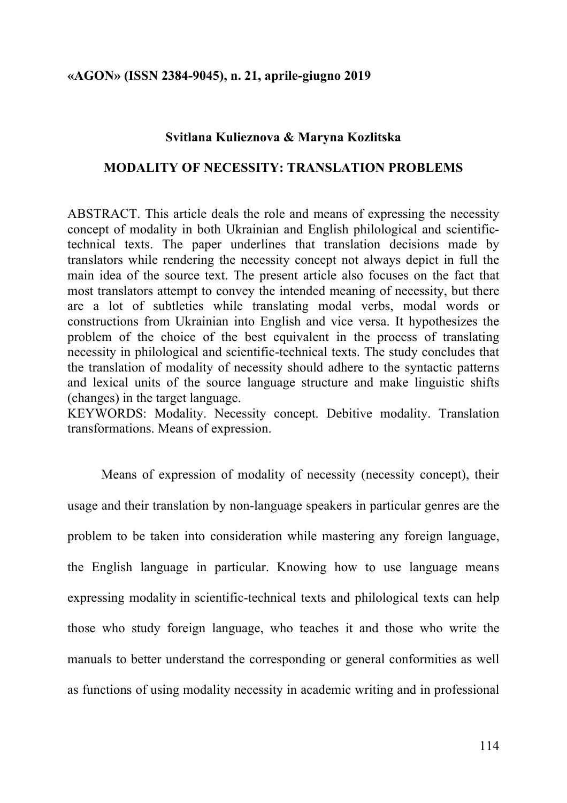### **Svitlana Kulieznova & Maryna Kozlitska**

### **MODALITY OF NECESSITY: TRANSLATION PROBLEMS**

ABSTRACT. This article deals the role and means of expressing the necessity concept of modality in both Ukrainian and English philological and scientifictechnical texts. The paper underlines that translation decisions made by translators while rendering the necessity concept not always depict in full the main idea of the source text. The present article also focuses on the fact that most translators attempt to convey the intended meaning of necessity, but there are a lot of subtleties while translating modal verbs, modal words or constructions from Ukrainian into English and vice versa. It hypothesizes the problem of the choice of the best equivalent in the process of translating necessity in philological and scientific-technical texts. The study concludes that the translation of modality of necessity should adhere to the syntactic patterns and lexical units of the source language structure and make linguistic shifts (changes) in the target language.

KEYWORDS: Modality. Necessity concept. Debitive modality. Translation transformations. Means of expression.

Means of expression of modality of necessity (necessity concept), their usage and their translation by non-language speakers in particular genres are the problem to be taken into consideration while mastering any foreign language, the English language in particular. Knowing how to use language means expressing modality in scientific-technical texts and philological texts can help those who study foreign language, who teaches it and those who write the manuals to better understand the corresponding or general conformities as well as functions of using modality necessity in academic writing and in professional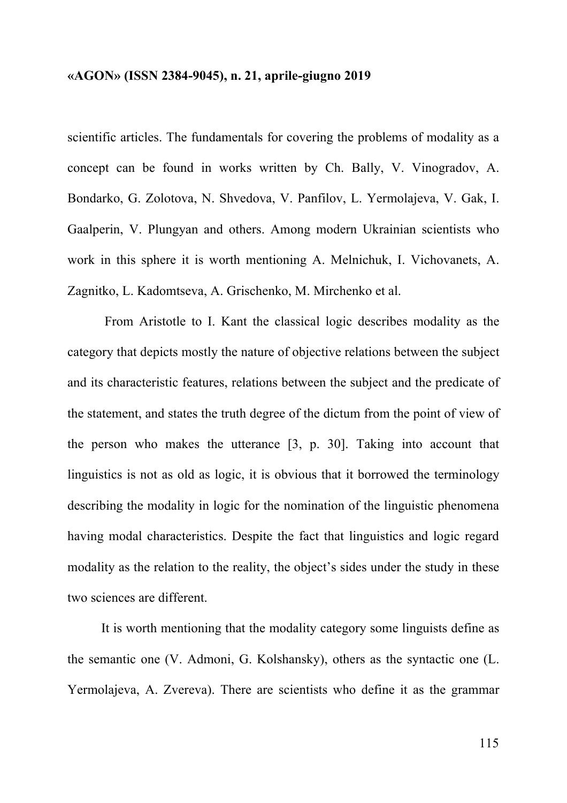scientific articles. The fundamentals for covering the problems of modality as a concept can be found in works written by Ch. Bally, V. Vinogradov, A. Bondarko, G. Zolotova, N. Shvedova, V. Panfilov, L. Yermolajeva, V. Gak, I. Gaalperin, V. Plungyan and others. Among modern Ukrainian scientists who work in this sphere it is worth mentioning A. Melnichuk, I. Vichovanets, A. Zagnitko, L. Kadomtseva, A. Grischenko, M. Mirchenko et al.

From Aristotle to I. Kant the classical logic describes modality as the category that depicts mostly the nature of objective relations between the subject and its characteristic features, relations between the subject and the predicate of the statement, and states the truth degree of the dictum from the point of view of the person who makes the utterance [3, p. 30]. Taking into account that linguistics is not as old as logic, it is obvious that it borrowed the terminology describing the modality in logic for the nomination of the linguistic phenomena having modal characteristics. Despite the fact that linguistics and logic regard modality as the relation to the reality, the object's sides under the study in these two sciences are different.

It is worth mentioning that the modality category some linguists define as the semantic one (V. Admoni, G. Kolshansky), others as the syntactic one (L. Yermolajeva, A. Zvereva). There are scientists who define it as the grammar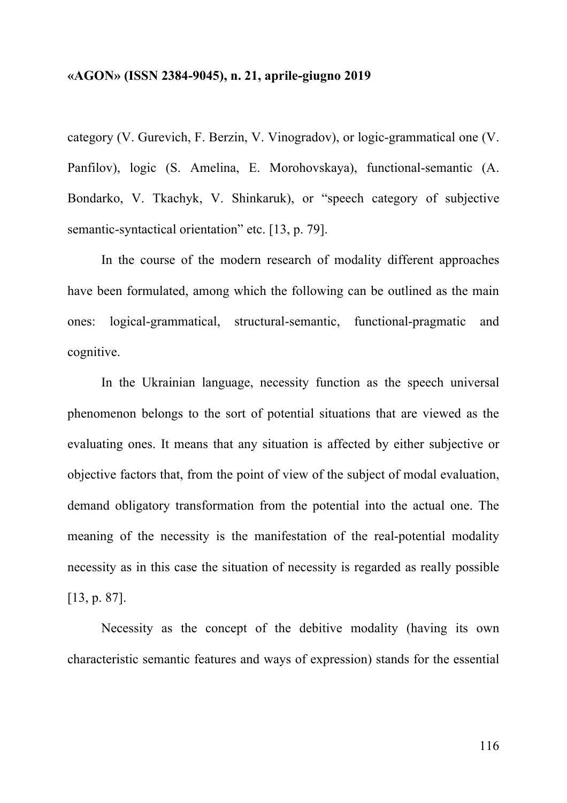category (V. Gurevich, F. Berzin, V. Vinogradov), or logic-grammatical one (V. Panfilov), logic (S. Amelina, E. Morohovskaya), functional-semantic (A. Bondarko, V. Tkachyk, V. Shinkaruk), or "speech category of subjective semantic-syntactical orientation" etc. [13, p. 79].

In the course of the modern research of modality different approaches have been formulated, among which the following can be outlined as the main ones: logical-grammatical, structural-semantic, functional-pragmatic and cognitive.

In the Ukrainian language, necessity function as the speech universal phenomenon belongs to the sort of potential situations that are viewed as the evaluating ones. It means that any situation is affected by either subjective or objective factors that, from the point of view of the subject of modal evaluation, demand obligatory transformation from the potential into the actual one. The meaning of the necessity is the manifestation of the real-potential modality necessity as in this case the situation of necessity is regarded as really possible [13, p. 87].

Necessity as the concept of the debitive modality (having its own characteristic semantic features and ways of expression) stands for the essential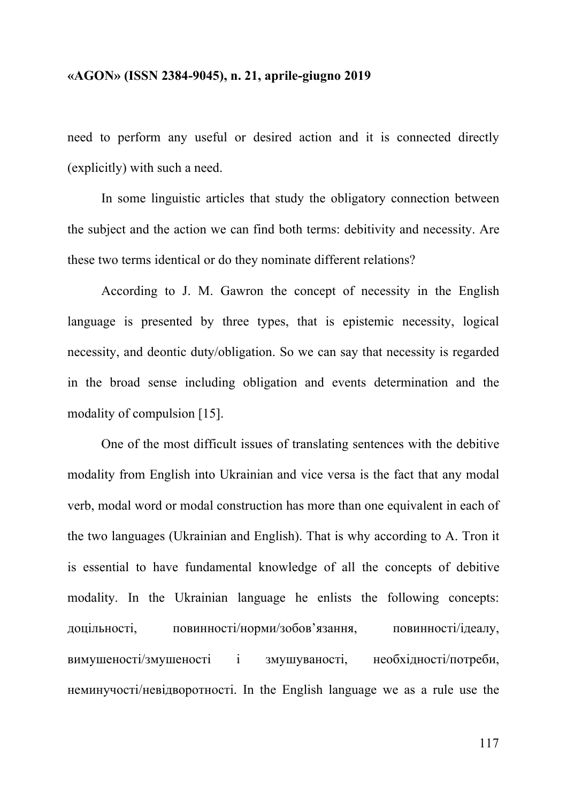need to perform any useful or desired action and it is connected directly (explicitly) with such a need.

In some linguistic articles that study the obligatory connection between the subject and the action we can find both terms: debitivity and necessity. Are these two terms identical or do they nominate different relations?

According to J. M. Gawron the concept of necessity in the English language is presented by three types, that is epistemic necessity, logical necessity, and deontic duty/obligation. So we can say that necessity is regarded in the broad sense including obligation and events determination and the modality of compulsion [15].

One of the most difficult issues of translating sentences with the debitive modality from English into Ukrainian and vice versa is the fact that any modal verb, modal word or modal construction has more than one equivalent in each of the two languages (Ukrainian and English). That is why according to A. Tron it is essential to have fundamental knowledge of all the concepts of debitive modality. In the Ukrainian language he enlists the following concepts: доцільності, повинності/норми/зобов'язання, повинності/ідеалу, вимушеності/змушеності і змушуваності, необхідності/потреби, неминучості/невідворотності. In the English language we as a rule use the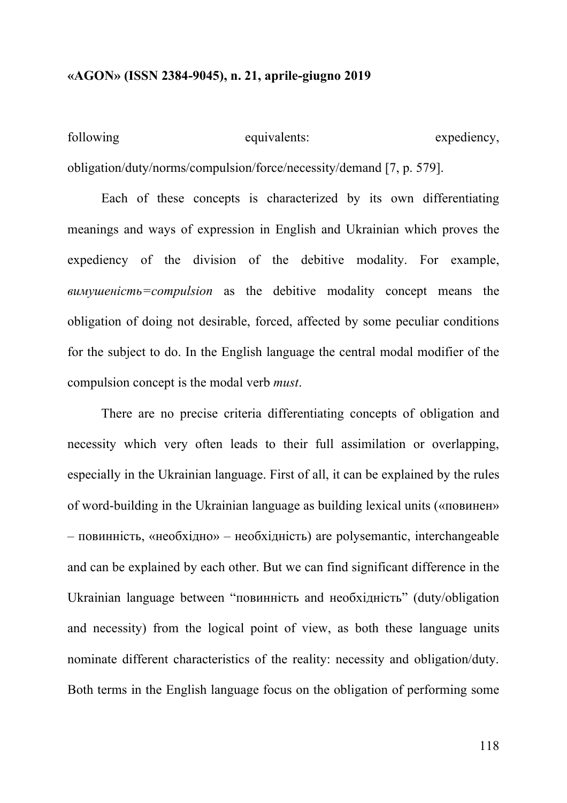| following | equivalents:                                                         | expediency, |
|-----------|----------------------------------------------------------------------|-------------|
|           | obligation/duty/norms/compulsion/force/necessity/demand [7, p. 579]. |             |

Each of these concepts is characterized by its own differentiating meanings and ways of expression in English and Ukrainian which proves the expediency of the division of the debitive modality. For example, *вимушеність=compulsion* as the debitive modality concept means the obligation of doing not desirable, forced, affected by some peculiar conditions for the subject to do. In the English language the central modal modifier of the compulsion concept is the modal verb *must*.

There are no precise criteria differentiating concepts of obligation and necessity which very often leads to their full assimilation or overlapping, especially in the Ukrainian language. First of all, it can be explained by the rules of word-building in the Ukrainian language as building lexical units («повинен» – повинність, «необхідно» – необхідність) are polysemantic, interchangeable and can be explained by each other. But we can find significant difference in the Ukrainian language between "повинність and необхідність" (duty/obligation and necessity) from the logical point of view, as both these language units nominate different characteristics of the reality: necessity and obligation/duty. Both terms in the English language focus on the obligation of performing some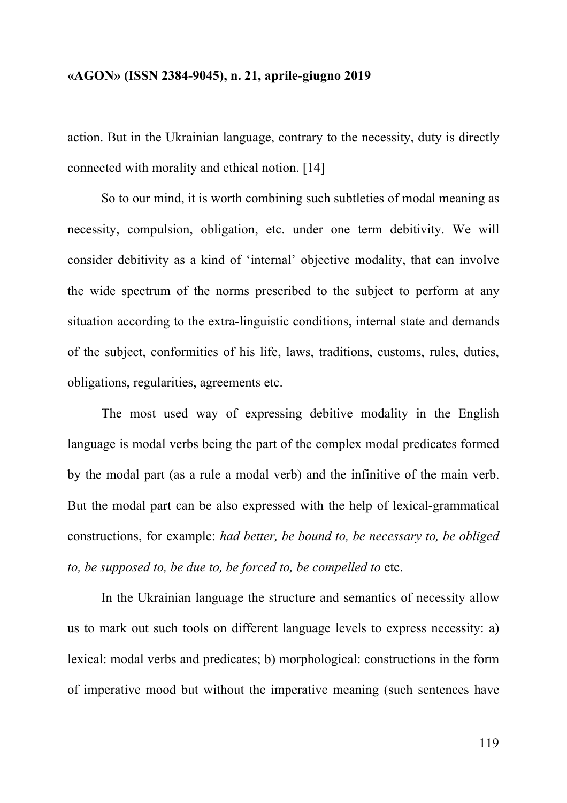action. But in the Ukrainian language, contrary to the necessity, duty is directly connected with morality and ethical notion. [14]

So to our mind, it is worth combining such subtleties of modal meaning as necessity, compulsion, obligation, etc. under one term debitivity. We will consider debitivity as a kind of 'internal' objective modality, that can involve the wide spectrum of the norms prescribed to the subject to perform at any situation according to the extra-linguistic conditions, internal state and demands of the subject, conformities of his life, laws, traditions, customs, rules, duties, obligations, regularities, agreements etc.

The most used way of expressing debitive modality in the English language is modal verbs being the part of the complex modal predicates formed by the modal part (as a rule a modal verb) and the infinitive of the main verb. But the modal part can be also expressed with the help of lexical-grammatical constructions, for example: *had better, be bound to, be necessary to, be obliged to, be supposed to, be due to, be forced to, be compelled to* etc.

In the Ukrainian language the structure and semantics of necessity allow us to mark out such tools on different language levels to express necessity: a) lexical: modal verbs and predicates; b) morphological: constructions in the form of imperative mood but without the imperative meaning (such sentences have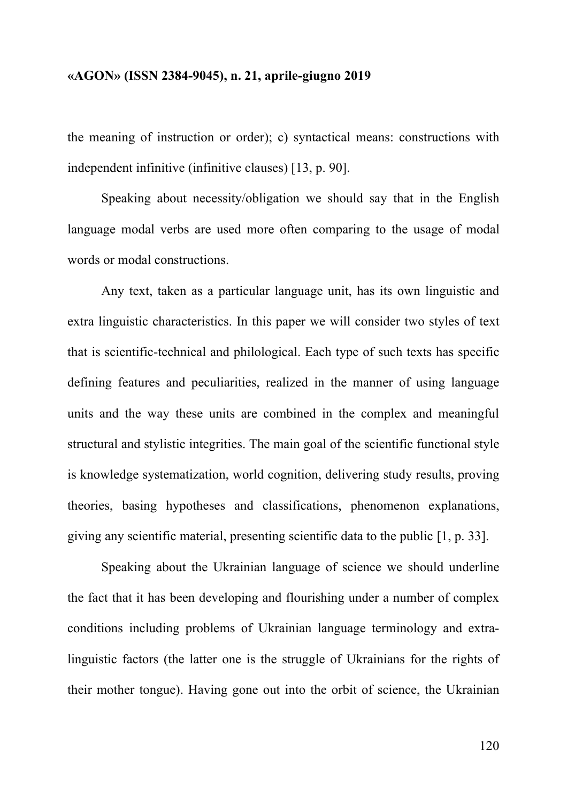the meaning of instruction or order); c) syntactical means: constructions with independent infinitive (infinitive clauses) [13, p. 90].

Speaking about necessity/obligation we should say that in the English language modal verbs are used more often comparing to the usage of modal words or modal constructions.

Any text, taken as a particular language unit, has its own linguistic and extra linguistic characteristics. In this paper we will consider two styles of text that is scientific-technical and philological. Each type of such texts has specific defining features and peculiarities, realized in the manner of using language units and the way these units are combined in the complex and meaningful structural and stylistic integrities. The main goal of the scientific functional style is knowledge systematization, world cognition, delivering study results, proving theories, basing hypotheses and classifications, phenomenon explanations, giving any scientific material, presenting scientific data to the public [1, p. 33].

Speaking about the Ukrainian language of science we should underline the fact that it has been developing and flourishing under a number of complex conditions including problems of Ukrainian language terminology and extralinguistic factors (the latter one is the struggle of Ukrainians for the rights of their mother tongue). Having gone out into the orbit of science, the Ukrainian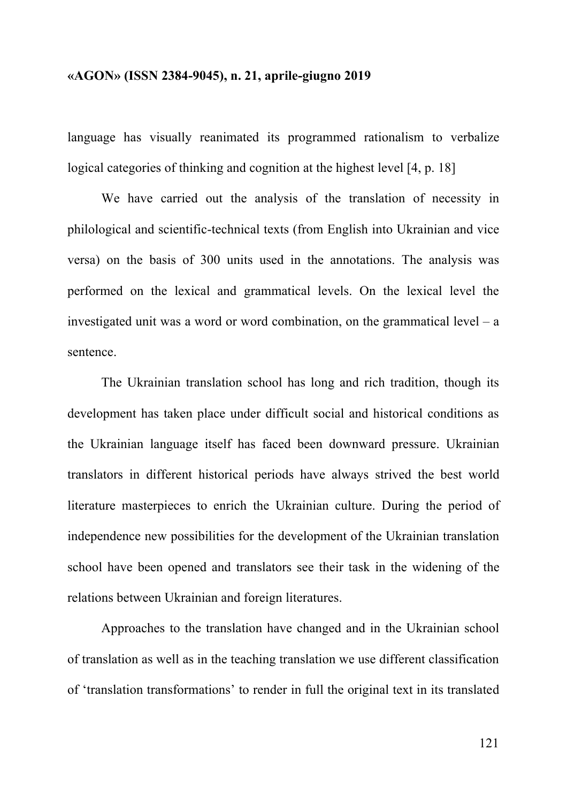language has visually reanimated its programmed rationalism to verbalize logical categories of thinking and cognition at the highest level [4, p. 18]

We have carried out the analysis of the translation of necessity in philological and scientific-technical texts (from English into Ukrainian and vice versa) on the basis of 300 units used in the annotations. The analysis was performed on the lexical and grammatical levels. On the lexical level the investigated unit was a word or word combination, on the grammatical level – a sentence.

The Ukrainian translation school has long and rich tradition, though its development has taken place under difficult social and historical conditions as the Ukrainian language itself has faced been downward pressure. Ukrainian translators in different historical periods have always strived the best world literature masterpieces to enrich the Ukrainian culture. During the period of independence new possibilities for the development of the Ukrainian translation school have been opened and translators see their task in the widening of the relations between Ukrainian and foreign literatures.

Approaches to the translation have changed and in the Ukrainian school of translation as well as in the teaching translation we use different classification of 'translation transformations' to render in full the original text in its translated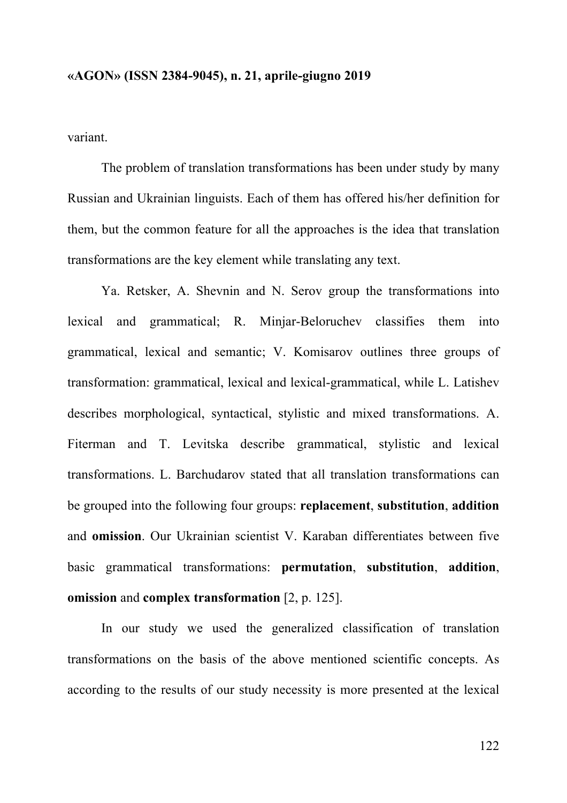variant.

The problem of translation transformations has been under study by many Russian and Ukrainian linguists. Each of them has offered his/her definition for them, but the common feature for all the approaches is the idea that translation transformations are the key element while translating any text.

Ya. Retsker, A. Shevnin and N. Serov group the transformations into lexical and grammatical; R. Minjar-Beloruchev classifies them into grammatical, lexical and semantic; V. Komisarov outlines three groups of transformation: grammatical, lexical and lexical-grammatical, while L. Latishev describes morphological, syntactical, stylistic and mixed transformations. A. Fiterman and T. Levitska describe grammatical, stylistic and lexical transformations. L. Barchudarov stated that all translation transformations can be grouped into the following four groups: **replacement**, **substitution**, **addition** and **omission**. Our Ukrainian scientist V. Karaban differentiates between five basic grammatical transformations: **permutation**, **substitution**, **addition**, **omission** and **complex transformation** [2, p. 125].

In our study we used the generalized classification of translation transformations on the basis of the above mentioned scientific concepts. As according to the results of our study necessity is more presented at the lexical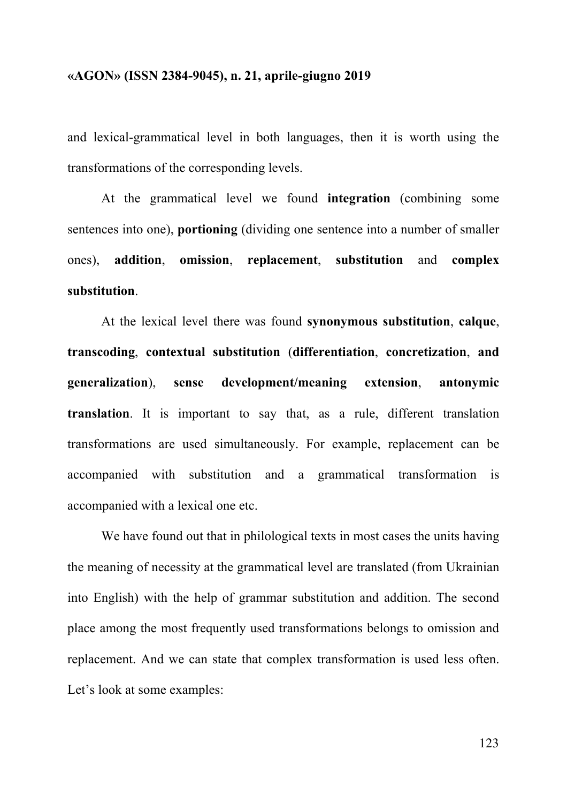and lexical-grammatical level in both languages, then it is worth using the transformations of the corresponding levels.

At the grammatical level we found **integration** (combining some sentences into one), **portioning** (dividing one sentence into a number of smaller ones), **addition**, **omission**, **replacement**, **substitution** and **complex substitution**.

At the lexical level there was found **synonymous substitution**, **calque**, **transcoding**, **contextual substitution** (**differentiation**, **concretization**, **and generalization**), **sense development/meaning extension**, **antonymic translation**. It is important to say that, as a rule, different translation transformations are used simultaneously. For example, replacement can be accompanied with substitution and a grammatical transformation is accompanied with a lexical one etc.

We have found out that in philological texts in most cases the units having the meaning of necessity at the grammatical level are translated (from Ukrainian into English) with the help of grammar substitution and addition. The second place among the most frequently used transformations belongs to omission and replacement. And we can state that complex transformation is used less often. Let's look at some examples: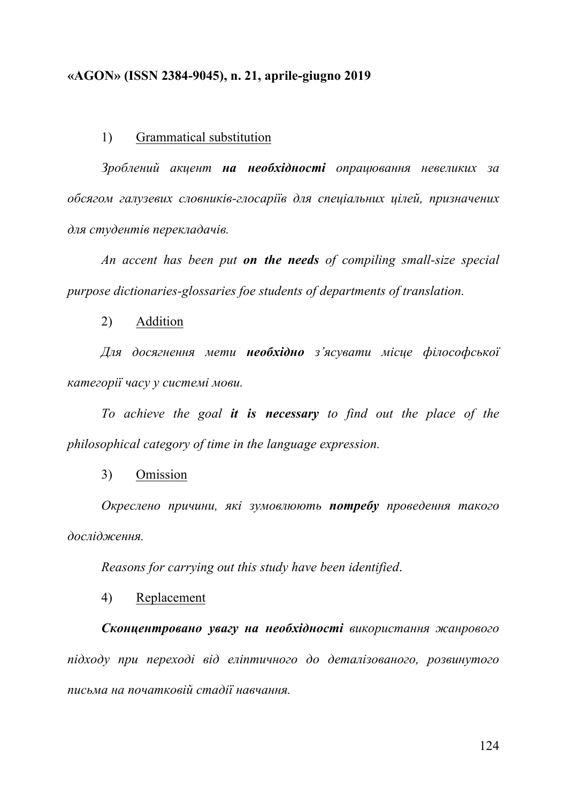#### 1) Grammatical substitution

*Зроблений акцент на необхідності опрацювання невеликих за обсягом галузевих словників-глосаріїв для спеціальних цілей, призначених для студентів перекладачів.* 

*An accent has been put on the needs of compiling small-size special purpose dictionaries-glossaries foe students of departments of translation.*

2) Addition

*Для досягнення мети необхідно з'ясувати місце філософської категорії часу у системі мови.*

*To achieve the goal it is necessary to find out the place of the philosophical category of time in the language expression.*

3) Omission

*Окреслено причини, які зумовлюють потребу проведення такого дослідження.*

*Reasons for carrying out this study have been identified*.

4) Replacement

*Сконцентровано увагу на необхідності використання жанрового підходу при переході від еліптичного до деталізованого, розвинутого письма на початковій стадії навчання.*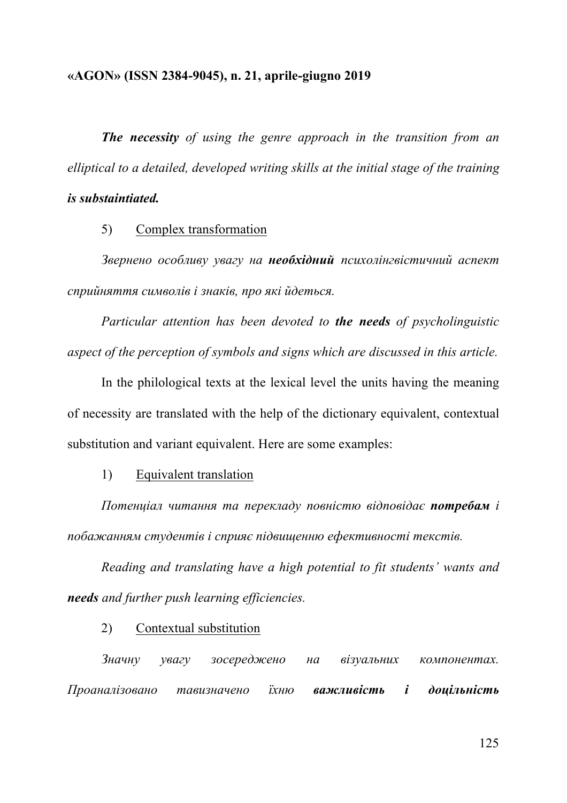*The necessity of using the genre approach in the transition from an elliptical to a detailed, developed writing skills at the initial stage of the training* 

## *is substaintiated.*

### 5) Complex transformation

*Звернено особливу увагу на необхідний психолінгвістичний аспект сприйняття символів і знаків, про які йдеться.*

*Particular attention has been devoted to the needs of psycholinguistic aspect of the perception of symbols and signs which are discussed in this article.*

In the philological texts at the lexical level the units having the meaning of necessity are translated with the help of the dictionary equivalent, contextual substitution and variant equivalent. Here are some examples:

## 1) Equivalent translation

*Потенціал читання та перекладу повністю відповідає потребам і побажанням студентів і сприяє підвищенню ефективності текстів.* 

*Reading and translating have a high potential to fit students' wants and needs and further push learning efficiencies.*

#### 2) Contextual substitution

*Значну увагу зосереджено на візуальних компонентах. Проаналізовано тавизначено їхню важливість і доцільність*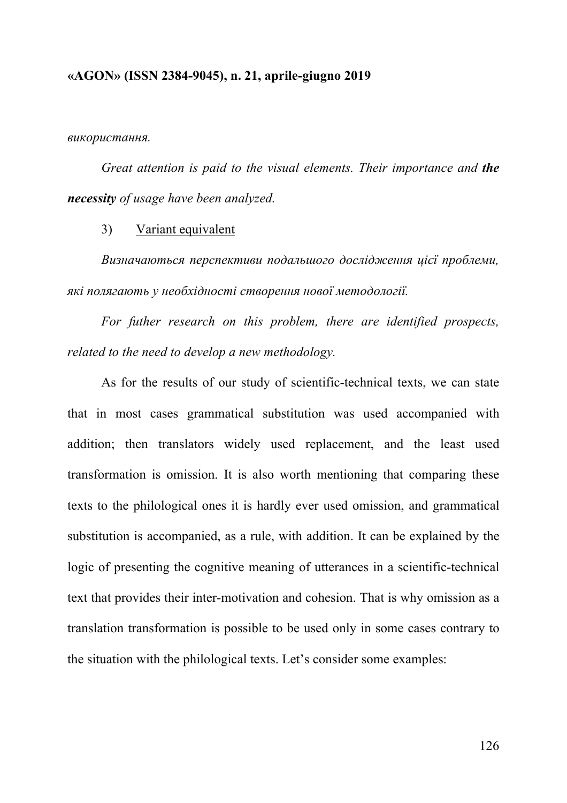*використання.*

*Great attention is paid to the visual elements. Their importance and the necessity of usage have been analyzed.*

3) Variant equivalent

*Визначаються перспективи подальшого дослідження цієї проблеми, які полягають у необхідності створення нової методології.*

*For futher research on this problem, there are identified prospects, related to the need to develop a new methodology.*

As for the results of our study of scientific-technical texts, we can state that in most cases grammatical substitution was used accompanied with addition; then translators widely used replacement, and the least used transformation is omission. It is also worth mentioning that comparing these texts to the philological ones it is hardly ever used omission, and grammatical substitution is accompanied, as a rule, with addition. It can be explained by the logic of presenting the cognitive meaning of utterances in a scientific-technical text that provides their inter-motivation and cohesion. That is why omission as a translation transformation is possible to be used only in some cases contrary to the situation with the philological texts. Let's consider some examples: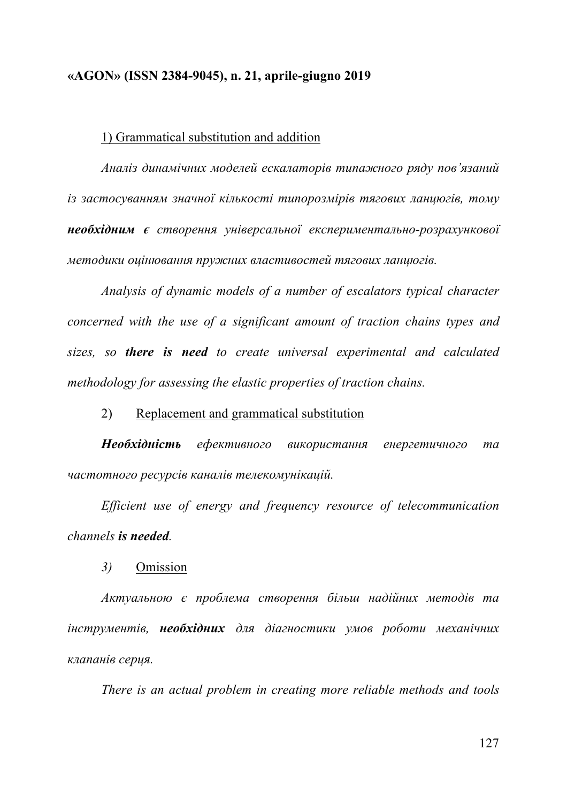#### 1) Grammatical substitution and addition

*Аналіз динамічних моделей ескалаторів типажного ряду пов'язаний із застосуванням значної кількості типорозмірів тягових ланцюгів, тому необхідним є створення універсальної експериментально-розрахункової методики оцінювання пружних властивостей тягових ланцюгів.* 

*Analysis of dynamic models of a number of escalators typical character concerned with the use of a significant amount of traction chains types and sizes, so there is need to create universal experimental and calculated methodology for assessing the elastic properties of traction chains.*

2) Replacement and grammatical substitution

*Необхідність ефективного використання енергетичного та частотного ресурсів каналів телекомунікацій.*

*Efficient use of energy and frequency resource of telecommunication channels is needed.*

*3)* Omission

*Актуальною є проблема створення більш надійних методів та інструментів, необхідних для діагностики умов роботи механічних клапанів серця.*

*There is an actual problem in creating more reliable methods and tools*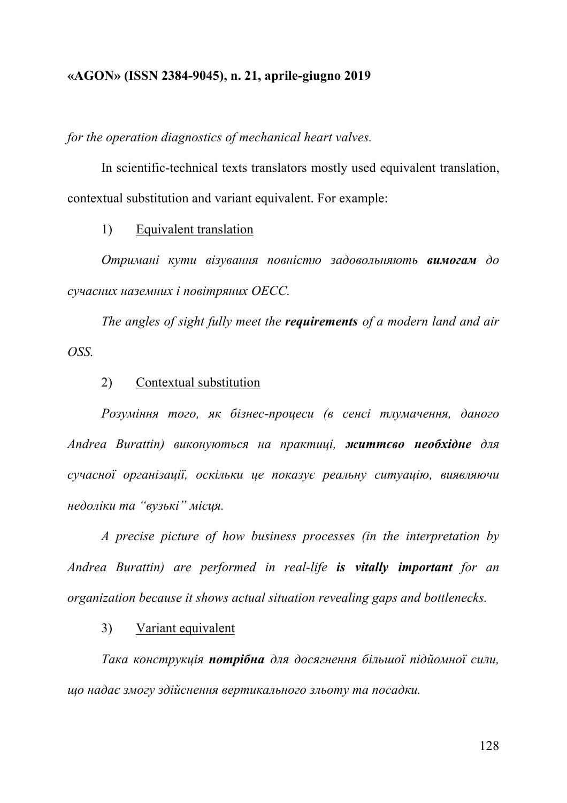*for the operation diagnostics of mechanical heart valves.*

In scientific-technical texts translators mostly used equivalent translation, contextual substitution and variant equivalent. For example:

1) Equivalent translation

*Отримані кути візування повністю задовольняють вимогам до сучасних наземних і повітряних ОЕСС.* 

*The angles of sight fully meet the requirements of a modern land and air OSS.*

### 2) Contextual substitution

*Розуміння того, як бізнес-процеси (в сенсі тлумачення, даного Andrea Burattin) виконуються на практиці, життєво необхідне для сучасної організації, оскільки це показує реальну ситуацію, виявляючи недоліки та "вузькі" місця.*

*A precise picture of how business processes (in the interpretation by Andrea Burattin) are performed in real-life is vitally important for an organization because it shows actual situation revealing gaps and bottlenecks.*

#### 3) Variant equivalent

*Така конструкція потрібна для досягнення більшої підйомної сили, що надає змогу здійснення вертикального зльоту та посадки.*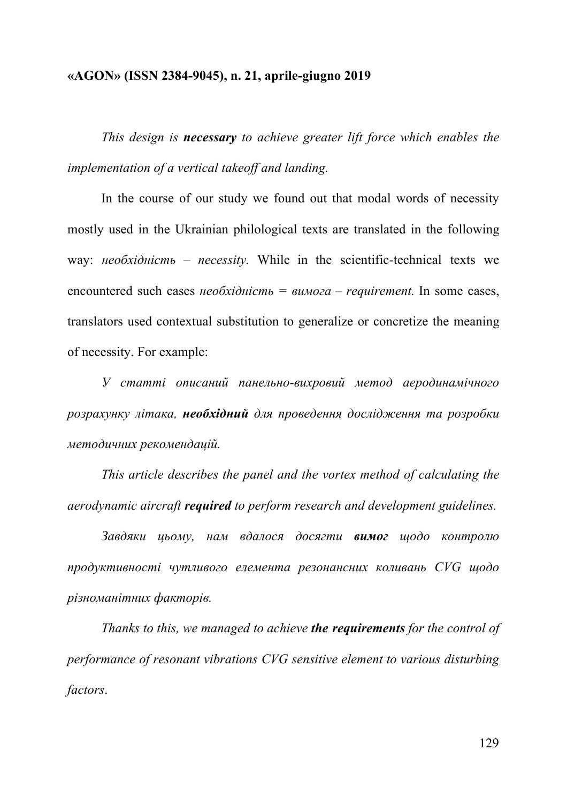*This design is necessary to achieve greater lift force which enables the implementation of a vertical takeoff and landing.*

In the course of our study we found out that modal words of necessity mostly used in the Ukrainian philological texts are translated in the following way: *необхідність – necessity.* While in the scientific-technical texts we encountered such cases *необхідність = вимога – requirement.* In some cases, translators used contextual substitution to generalize or concretize the meaning of necessity. For example:

*У статті описаний панельно-вихровий метод аеродинамічного розрахунку літака, необхідний для проведення дослідження та розробки методичних рекомендацій.*

*This article describes the panel and the vortex method of calculating the aerodynamic aircraft required to perform research and development guidelines.*

*Завдяки цьому, нам вдалося досягти вимог щодо контролю продуктивності чутливого елемента резонансних коливань CVG щодо різноманітних факторів.*

*Thanks to this, we managed to achieve the requirements for the control of performance of resonant vibrations CVG sensitive element to various disturbing factors*.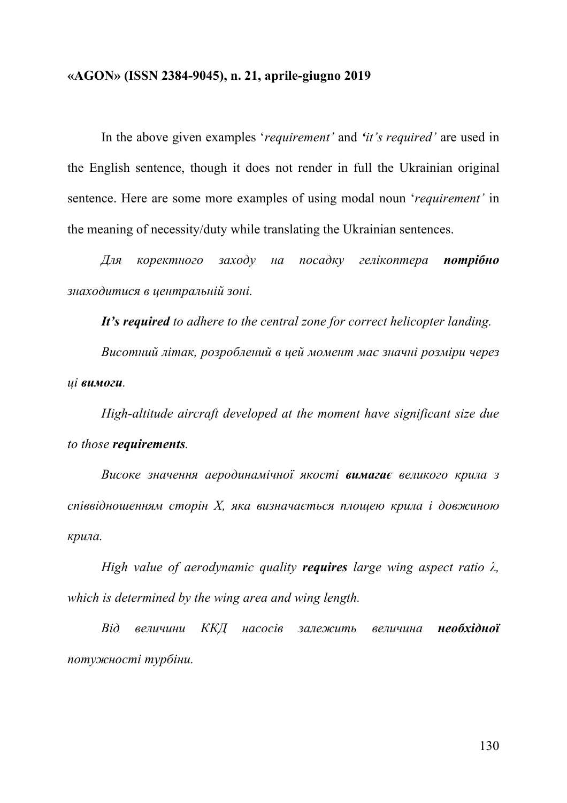In the above given examples '*requirement'* and *'it's required'* are used in the English sentence, though it does not render in full the Ukrainian original sentence. Here are some more examples of using modal noun '*requirement'* in the meaning of necessity/duty while translating the Ukrainian sentences.

*Для коректного заходу на посадку гелікоптера потрібно знаходитися в центральній зоні.* 

*It's required to adhere to the central zone for correct helicopter landing.*

*Висотний літак, розроблений в цей момент має значні розміри через ці вимоги.* 

*High-altitude aircraft developed at the moment have significant size due to those requirements.*

*Високе значення аеродинамічної якості вимагає великого крила з співвідношенням сторін X, яка визначається площею крила і довжиною крила.*

*High value of aerodynamic quality requires large wing aspect ratio λ, which is determined by the wing area and wing length.*

*Від величини ККД насосів залежить величина необхідної потужності турбіни.*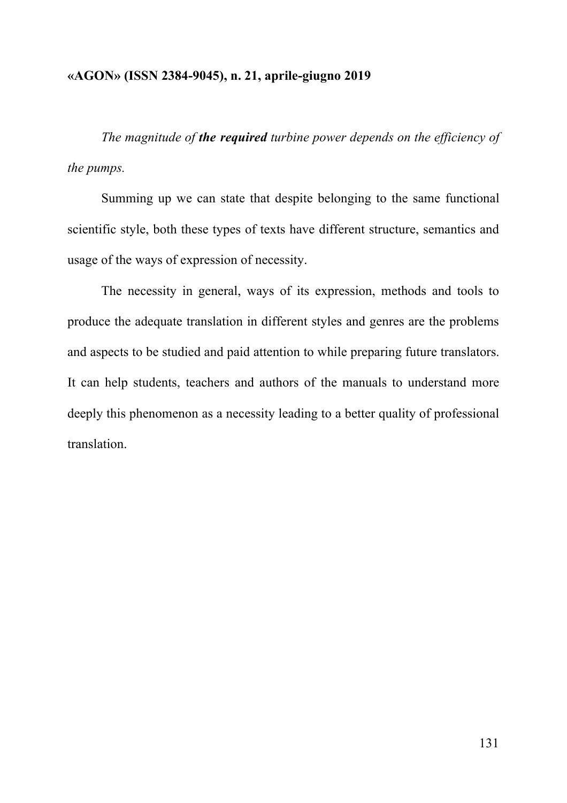*The magnitude of the required turbine power depends on the efficiency of the pumps.*

Summing up we can state that despite belonging to the same functional scientific style, both these types of texts have different structure, semantics and usage of the ways of expression of necessity.

The necessity in general, ways of its expression, methods and tools to produce the adequate translation in different styles and genres are the problems and aspects to be studied and paid attention to while preparing future translators. It can help students, teachers and authors of the manuals to understand more deeply this phenomenon as a necessity leading to a better quality of professional translation.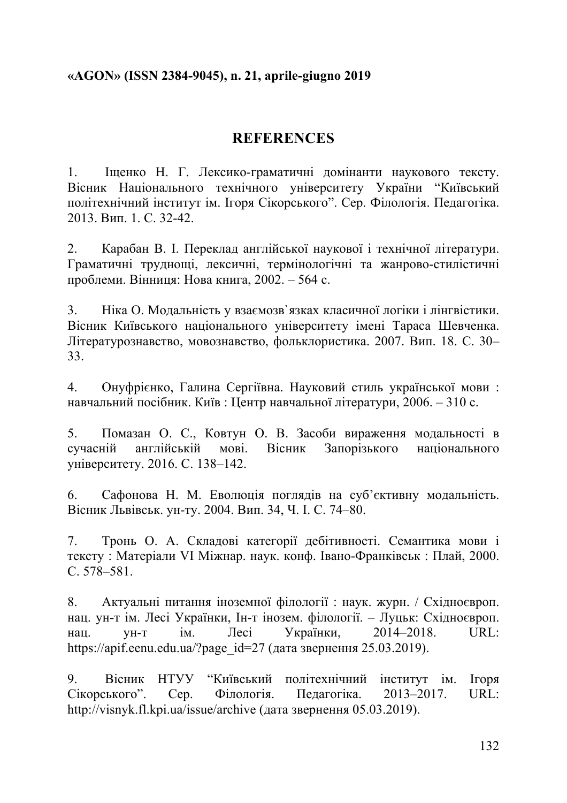# **REFERENCES**

1. Іщенко Н. Г. Лексико-граматичні домінанти наукового тексту. Вісник Національного технічного університету України "Київський політехнічний інститут ім. Ігоря Сікорського". Сер. Філологія. Педагогіка. 2013. Вип. 1. С. 32-42.

2. Карабан В. І. Переклад англійської наукової і технічної літератури. Граматичні труднощі, лексичні, термінологічні та жанрово-стилістичні проблеми. Вінниця: Нова книга, 2002. – 564 с.

3. Ніка О. Модальність у взаємозв`язках класичної логіки і лінгвістики. Вісник Київського національного університету імені Тараса Шевченка. Літературознавство, мовознавство, фольклористика. 2007. Вип. 18. С. 30– 33.

4. Онуфрієнко, Галина Сергіївна. Науковий стиль української мови : навчальний посібник. Київ : Центр навчальної літератури, 2006. – 310 с.

5. Помазан О. С., Ковтун О. В. Засоби вираження модальності в сучасній англійській мові. Вісник Запорізького національного університету. 2016. С. 138–142.

6. Сафонова Н. M. Еволюція поглядів на суб'єктивну модальність. Вісник Львівськ. ун-ту. 2004. Вип. 34, Ч. I. С. 74–80.

7. Тронь О. А. Складові категорії дебітивності. Семантика мови і тексту : Матеріали VI Міжнар. наук. конф. Івано-Франківськ : Плай, 2000. С. 578–581.

8. Актуальні питання іноземної філології : наук. журн. / Східноєвроп. нац. ун-т ім. Лесі Українки, Ін-т інозем. філології. – Луцьк: Східноєвроп. нац. ун-т ім. Лесі Українки, 2014–2018. URL: https://apif.eenu.edu.ua/?page\_id=27 (дата звернення 25.03.2019).

9. Вісник НТУУ "Київський політехнічний інститут ім. Ігоря Сікорського". Сер. Філологія. Педагогіка. 2013–2017. URL: http://visnyk.fl.kpi.ua/issue/archive (дата звернення 05.03.2019).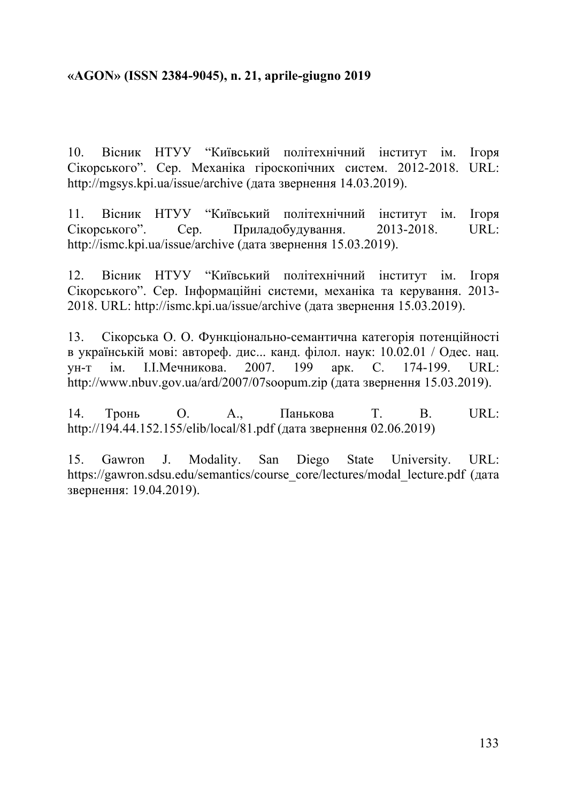10. Вісник НТУУ "Київський політехнічний інститут ім. Ігоря Сікорського". Сер. Механіка гіроскопічних систем. 2012-2018. URL: http://mgsys.kpi.ua/issue/archive (дата звернення 14.03.2019).

11. Вісник НТУУ "Київський політехнічний інститут ім. Ігоря Сікорського". Сер. Приладобудування. 2013-2018. URL: http://ismc.kpi.ua/issue/archive (дата звернення 15.03.2019).

12. Вісник НТУУ "Київський політехнічний інститут ім. Ігоря Сікорського". Сер. Інформаційні системи, механіка та керування. 2013- 2018. URL: http://ismc.kpi.ua/issue/archive (дата звернення 15.03.2019).

13. Сікорська О. О. Функціонально-семантична категорія потенційності в українській мові: автореф. дис... канд. філол. наук: 10.02.01 / Одес. нац. ун-т ім. І.І.Мечникова. 2007. 199 арк. C. 174-199. URL: http://www.nbuv.gov.ua/ard/2007/07soopum.zip (дата звернення 15.03.2019).

14. Тронь О. А., Панькова Т. В. URL: http://194.44.152.155/elib/local/81.pdf (дата звернення 02.06.2019)

15. Gawron J. Modality. San Diego State University. URL: https://gawron.sdsu.edu/semantics/course\_core/lectures/modal\_lecture.pdf (дата звернення: 19.04.2019).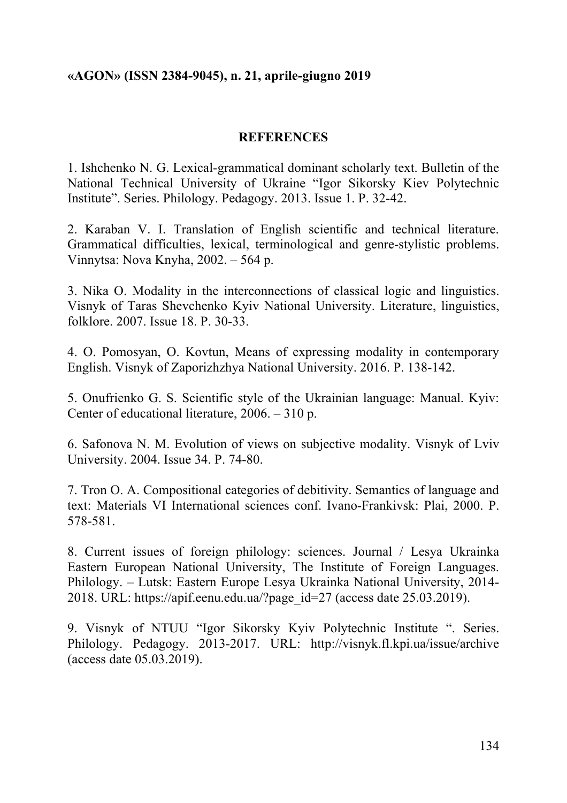## **REFERENCES**

1. Ishchenko N. G. Lexical-grammatical dominant scholarly text. Bulletin of the National Technical University of Ukraine "Igor Sikorsky Kiev Polytechnic Institute". Series. Philology. Pedagogy. 2013. Issue 1. P. 32-42.

2. Karaban V. I. Translation of English scientific and technical literature. Grammatical difficulties, lexical, terminological and genre-stylistic problems. Vinnytsa: Nova Knyha, 2002. – 564 p.

3. Nika O. Modality in the interconnections of classical logic and linguistics. Visnyk of Taras Shevchenko Kyiv National University. Literature, linguistics, folklore. 2007. Issue 18. P. 30-33.

4. O. Pomosyan, O. Kovtun, Means of expressing modality in contemporary English. Visnyk of Zaporizhzhya National University. 2016. P. 138-142.

5. Onufrienko G. S. Scientific style of the Ukrainian language: Manual. Kyiv: Center of educational literature, 2006. – 310 p.

6. Safonova N. M. Evolution of views on subjective modality. Visnyk of Lviv University. 2004. Issue 34. P. 74-80.

7. Tron O. A. Compositional categories of debitivity. Semantics of language and text: Materials VI International sciences conf. Ivano-Frankivsk: Plai, 2000. P. 578-581.

8. Current issues of foreign philology: sciences. Journal / Lesya Ukrainka Eastern European National University, The Institute of Foreign Languages. Philology. – Lutsk: Eastern Europe Lesya Ukrainka National University, 2014- 2018. URL: https://apif.eenu.edu.ua/?page\_id=27 (access date 25.03.2019).

9. Visnyk of NTUU "Igor Sikorsky Kyiv Polytechnic Institute ". Series. Philology. Pedagogy. 2013-2017. URL: http://visnyk.fl.kpi.ua/issue/archive (access date 05.03.2019).